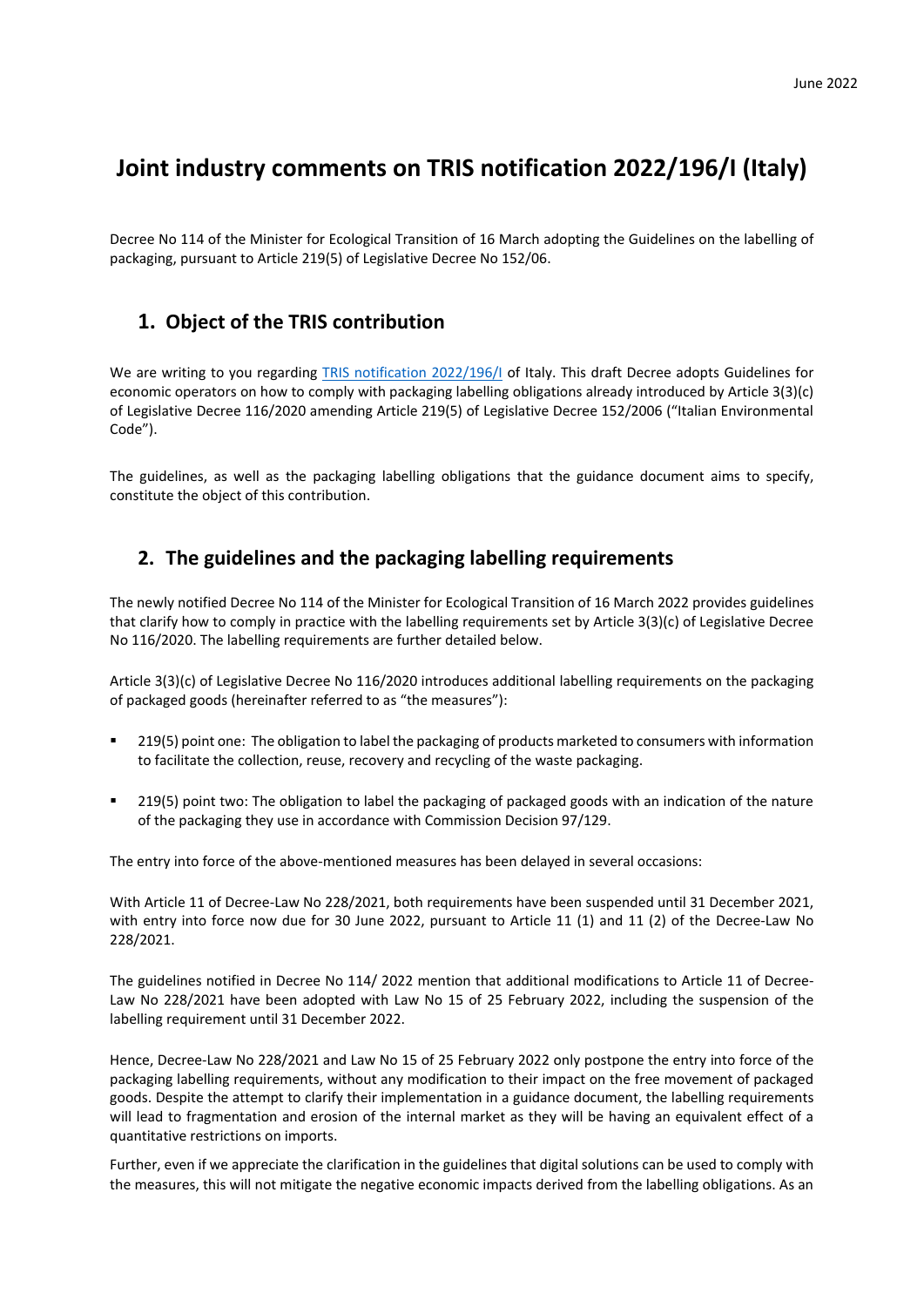# **Joint industry comments on TRIS notification 2022/196/I (Italy)**

Decree No 114 of the Minister for Ecological Transition of 16 March adopting the Guidelines on the labelling of packaging, pursuant to Article 219(5) of Legislative Decree No 152/06.

## **1. Object of the TRIS contribution**

We are writing to you regarding [TRIS notification 2022/196/I](https://ec.europa.eu/growth/tools-databases/tris/en/search/?trisaction=search.detail&year=2022&num=196) of Italy. This draft Decree adopts Guidelines for economic operators on how to comply with packaging labelling obligations already introduced by Article 3(3)(c) of Legislative Decree 116/2020 amending Article 219(5) of Legislative Decree 152/2006 ("Italian Environmental Code").

The guidelines, as well as the packaging labelling obligations that the guidance document aims to specify, constitute the object of this contribution.

### **2. The guidelines and the packaging labelling requirements**

The newly notified Decree No 114 of the Minister for Ecological Transition of 16 March 2022 provides guidelines that clarify how to comply in practice with the labelling requirements set by Article 3(3)(c) of Legislative Decree No 116/2020. The labelling requirements are further detailed below.

Article 3(3)(c) of Legislative Decree No 116/2020 introduces additional labelling requirements on the packaging of packaged goods (hereinafter referred to as "the measures"):

- 219(5) point one: The obligation to label the packaging of products marketed to consumers with information to facilitate the collection, reuse, recovery and recycling of the waste packaging.
- 219(5) point two: The obligation to label the packaging of packaged goods with an indication of the nature of the packaging they use in accordance with Commission Decision 97/129.

The entry into force of the above-mentioned measures has been delayed in several occasions:

With Article 11 of Decree-Law No 228/2021, both requirements have been suspended until 31 December 2021, with entry into force now due for 30 June 2022, pursuant to Article 11 (1) and 11 (2) of the Decree-Law No 228/2021.

The guidelines notified in Decree No 114/ 2022 mention that additional modifications to Article 11 of Decree-Law No 228/2021 have been adopted with Law No 15 of 25 February 2022, including the suspension of the labelling requirement until 31 December 2022.

Hence, Decree-Law No 228/2021 and Law No 15 of 25 February 2022 only postpone the entry into force of the packaging labelling requirements, without any modification to their impact on the free movement of packaged goods. Despite the attempt to clarify their implementation in a guidance document, the labelling requirements will lead to fragmentation and erosion of the internal market as they will be having an equivalent effect of a quantitative restrictions on imports.

Further, even if we appreciate the clarification in the guidelines that digital solutions can be used to comply with the measures, this will not mitigate the negative economic impacts derived from the labelling obligations. As an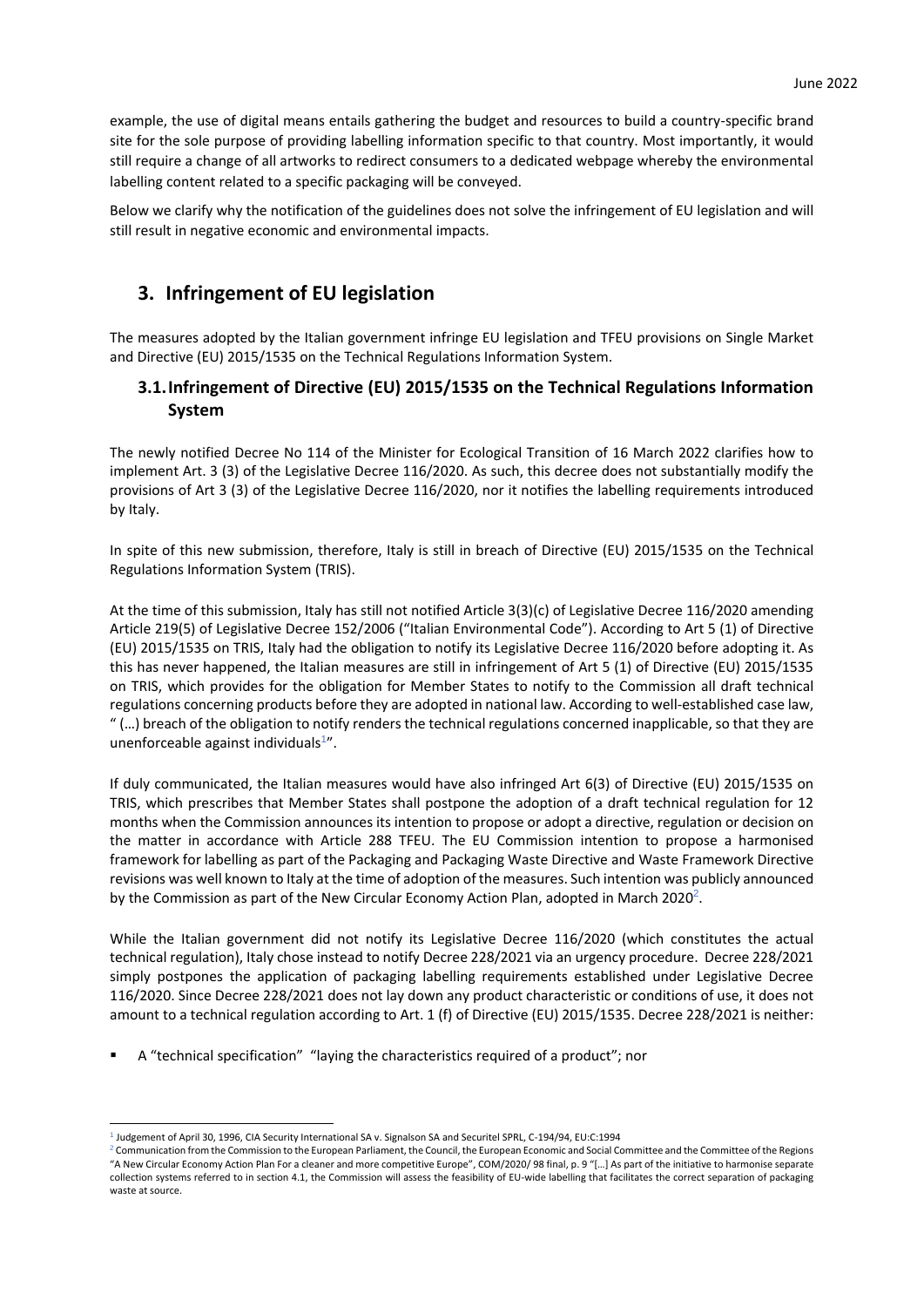example, the use of digital means entails gathering the budget and resources to build a country-specific brand site for the sole purpose of providing labelling information specific to that country. Most importantly, it would still require a change of all artworks to redirect consumers to a dedicated webpage whereby the environmental labelling content related to a specific packaging will be conveyed.

Below we clarify why the notification of the guidelines does not solve the infringement of EU legislation and will still result in negative economic and environmental impacts.

## **3. Infringement of EU legislation**

The measures adopted by the Italian government infringe EU legislation and TFEU provisions on Single Market and Directive (EU) 2015/1535 on the Technical Regulations Information System.

### **3.1.Infringement of Directive (EU) 2015/1535 on the Technical Regulations Information System**

The newly notified Decree No 114 of the Minister for Ecological Transition of 16 March 2022 clarifies how to implement Art. 3 (3) of the Legislative Decree 116/2020. As such, this decree does not substantially modify the provisions of Art 3 (3) of the Legislative Decree 116/2020, nor it notifies the labelling requirements introduced by Italy.

In spite of this new submission, therefore, Italy is still in breach of Directive (EU) 2015/1535 on the Technical Regulations Information System (TRIS).

At the time of this submission, Italy has still not notified Article 3(3)(c) of Legislative Decree 116/2020 amending Article 219(5) of Legislative Decree 152/2006 ("Italian Environmental Code"). According to Art 5 (1) of Directive (EU) 2015/1535 on TRIS, Italy had the obligation to notify its Legislative Decree 116/2020 before adopting it. As this has never happened, the Italian measures are still in infringement of Art 5 (1) of Directive (EU) 2015/1535 on TRIS, which provides for the obligation for Member States to notify to the Commission all draft technical regulations concerning products before they are adopted in national law. According to well-established case law, " (…) breach of the obligation to notify renders the technical regulations concerned inapplicable, so that they are unenforceable against individuals<sup>1</sup>".

If duly communicated, the Italian measures would have also infringed Art 6(3) of Directive (EU) 2015/1535 on TRIS, which prescribes that Member States shall postpone the adoption of a draft technical regulation for 12 months when the Commission announces its intention to propose or adopt a directive, regulation or decision on the matter in accordance with Article 288 TFEU. The EU Commission intention to propose a harmonised framework for labelling as part of the Packaging and Packaging Waste Directive and Waste Framework Directive revisions was well known to Italy at the time of adoption of the measures. Such intention was publicly announced by the Commission as part of the New Circular Economy Action Plan, adopted in March 2020<sup>2</sup>.

While the Italian government did not notify its Legislative Decree 116/2020 (which constitutes the actual technical regulation), Italy chose instead to notify Decree 228/2021 via an urgency procedure. Decree 228/2021 simply postpones the application of packaging labelling requirements established under Legislative Decree 116/2020. Since Decree 228/2021 does not lay down any product characteristic or conditions of use, it does not amount to a technical regulation according to Art. 1 (f) of Directive (EU) 2015/1535. Decree 228/2021 is neither:

A "technical specification" "laying the characteristics required of a product"; nor

<sup>1</sup> Judgement of April 30, 1996, CIA Security International SA v. Signalson SA and Securitel SPRL, C-194/94, EU:C:1994

 $^2$  Communication from the Commission to the European Parliament, the Council, the European Economic and Social Committee and the Committee of the Regions "A New Circular Economy Action Plan For a cleaner and more competitive Europe", COM/2020/ 98 final, p. 9 "[…] As part of the initiative to harmonise separate collection systems referred to in section 4.1, the Commission will assess the feasibility of EU-wide labelling that facilitates the correct separation of packaging waste at source.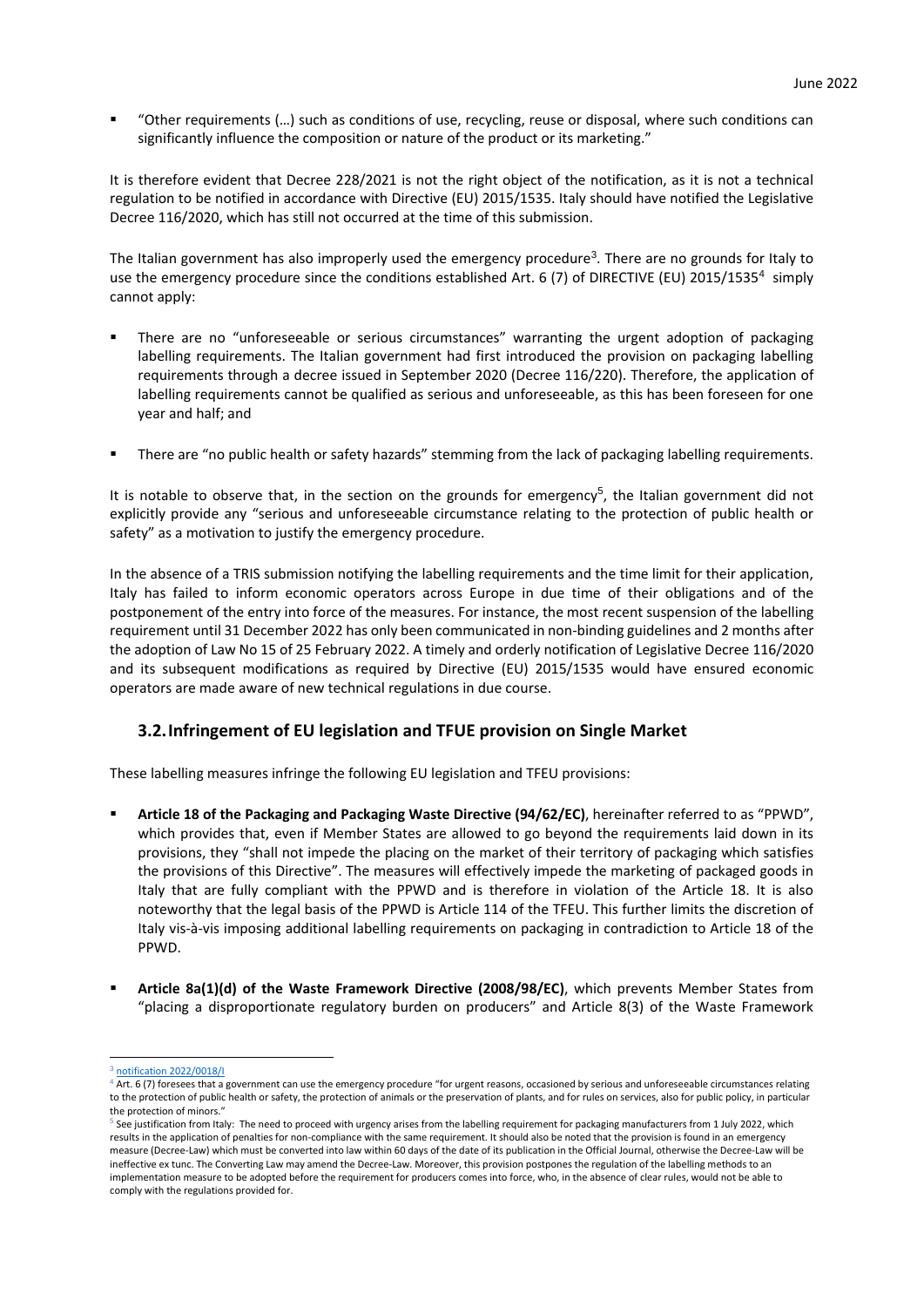"Other requirements (...) such as conditions of use, recycling, reuse or disposal, where such conditions can significantly influence the composition or nature of the product or its marketing."

It is therefore evident that Decree 228/2021 is not the right object of the notification, as it is not a technical regulation to be notified in accordance with Directive (EU) 2015/1535. Italy should have notified the Legislative Decree 116/2020, which has still not occurred at the time of this submission.

The Italian government has also improperly used the emergency procedure<sup>3</sup>. There are no grounds for Italy to use the emergency procedure since the conditions established Art. 6 (7) of DIRECTIVE (EU) 2015/1535<sup>4</sup> simply cannot apply:

- There are no "unforeseeable or serious circumstances" warranting the urgent adoption of packaging labelling requirements. The Italian government had first introduced the provision on packaging labelling requirements through a decree issued in September 2020 (Decree 116/220). Therefore, the application of labelling requirements cannot be qualified as serious and unforeseeable, as this has been foreseen for one year and half; and
- There are "no public health or safety hazards" stemming from the lack of packaging labelling requirements.

It is notable to observe that, in the section on the grounds for emergency<sup>5</sup>, the Italian government did not explicitly provide any "serious and unforeseeable circumstance relating to the protection of public health or safety" as a motivation to justify the emergency procedure.

In the absence of a TRIS submission notifying the labelling requirements and the time limit for their application, Italy has failed to inform economic operators across Europe in due time of their obligations and of the postponement of the entry into force of the measures. For instance, the most recent suspension of the labelling requirement until 31 December 2022 has only been communicated in non-binding guidelines and 2 months after the adoption of Law No 15 of 25 February 2022. A timely and orderly notification of Legislative Decree 116/2020 and its subsequent modifications as required by Directive (EU) 2015/1535 would have ensured economic operators are made aware of new technical regulations in due course.

### **3.2.Infringement of EU legislation and TFUE provision on Single Market**

These labelling measures infringe the following EU legislation and TFEU provisions:

- **Article 18 of the Packaging and Packaging Waste Directive (94/62/EC)**, hereinafter referred to as "PPWD", which provides that, even if Member States are allowed to go beyond the requirements laid down in its provisions, they "shall not impede the placing on the market of their territory of packaging which satisfies the provisions of this Directive". The measures will effectively impede the marketing of packaged goods in Italy that are fully compliant with the PPWD and is therefore in violation of the Article 18. It is also noteworthy that the legal basis of the PPWD is Article 114 of the TFEU. This further limits the discretion of Italy vis-à-vis imposing additional labelling requirements on packaging in contradiction to Article 18 of the PPWD.
- **Article 8a(1)(d) of the Waste Framework Directive (2008/98/EC)**, which prevents Member States from "placing a disproportionate regulatory burden on producers" and Article 8(3) of the Waste Framework

 $3$  [notification 2022/0018/I](https://ec.europa.eu/growth/tools-databases/tris/en/search/?trisaction=search.detail&year=2022&num=18)

<sup>&</sup>lt;sup>4</sup> Art. 6 (7) foresees that a government can use the emergency procedure "for urgent reasons, occasioned by serious and unforeseeable circumstances relating to the protection of public health or safety, the protection of animals or the preservation of plants, and for rules on services, also for public policy, in particular the protection of minors."

<sup>&</sup>lt;sup>5</sup> See justification from Italy: The need to proceed with urgency arises from the labelling requirement for packaging manufacturers from 1 July 2022, which results in the application of penalties for non-compliance with the same requirement. It should also be noted that the provision is found in an emergency measure (Decree-Law) which must be converted into law within 60 days of the date of its publication in the Official Journal, otherwise the Decree-Law will be ineffective ex tunc. The Converting Law may amend the Decree-Law. Moreover, this provision postpones the regulation of the labelling methods to an implementation measure to be adopted before the requirement for producers comes into force, who, in the absence of clear rules, would not be able to comply with the regulations provided for.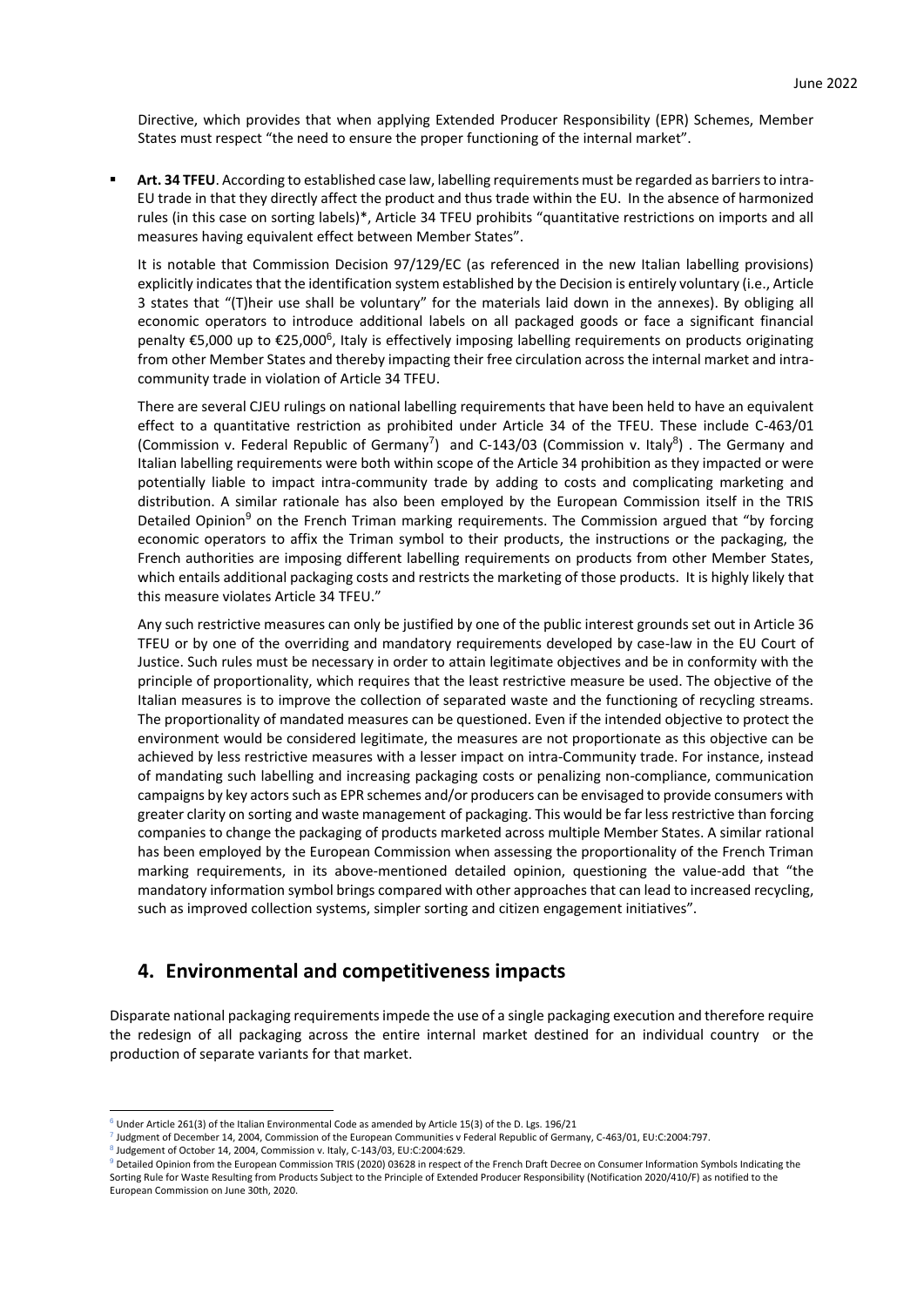Directive, which provides that when applying Extended Producer Responsibility (EPR) Schemes, Member States must respect "the need to ensure the proper functioning of the internal market".

Art. 34 TFEU. According to established case law, labelling requirements must be regarded as barriers to intra-EU trade in that they directly affect the product and thus trade within the EU. In the absence of harmonized rules (in this case on sorting labels)\*, Article 34 TFEU prohibits "quantitative restrictions on imports and all measures having equivalent effect between Member States".

It is notable that Commission Decision 97/129/EC (as referenced in the new Italian labelling provisions) explicitly indicates that the identification system established by the Decision is entirely voluntary (i.e., Article 3 states that "(T)heir use shall be voluntary" for the materials laid down in the annexes). By obliging all economic operators to introduce additional labels on all packaged goods or face a significant financial penalty €5,000 up to €25,000<sup>6</sup>, Italy is effectively imposing labelling requirements on products originating from other Member States and thereby impacting their free circulation across the internal market and intracommunity trade in violation of Article 34 TFEU.

There are several CJEU rulings on national labelling requirements that have been held to have an equivalent effect to a quantitative restriction as prohibited under Article 34 of the TFEU. These include C-463/01 (Commission v. Federal Republic of Germany<sup>7</sup>) and C-143/03 (Commission v. Italy<sup>8</sup>). The Germany and Italian labelling requirements were both within scope of the Article 34 prohibition as they impacted or were potentially liable to impact intra-community trade by adding to costs and complicating marketing and distribution. A similar rationale has also been employed by the European Commission itself in the TRIS Detailed Opinion<sup>9</sup> on the French Triman marking requirements. The Commission argued that "by forcing economic operators to affix the Triman symbol to their products, the instructions or the packaging, the French authorities are imposing different labelling requirements on products from other Member States, which entails additional packaging costs and restricts the marketing of those products. It is highly likely that this measure violates Article 34 TFEU."

Any such restrictive measures can only be justified by one of the public interest grounds set out in Article 36 TFEU or by one of the overriding and mandatory requirements developed by case-law in the EU Court of Justice. Such rules must be necessary in order to attain legitimate objectives and be in conformity with the principle of proportionality, which requires that the least restrictive measure be used. The objective of the Italian measures is to improve the collection of separated waste and the functioning of recycling streams. The proportionality of mandated measures can be questioned. Even if the intended objective to protect the environment would be considered legitimate, the measures are not proportionate as this objective can be achieved by less restrictive measures with a lesser impact on intra-Community trade. For instance, instead of mandating such labelling and increasing packaging costs or penalizing non-compliance, communication campaigns by key actors such as EPR schemes and/or producers can be envisaged to provide consumers with greater clarity on sorting and waste management of packaging. This would be far less restrictive than forcing companies to change the packaging of products marketed across multiple Member States. A similar rational has been employed by the European Commission when assessing the proportionality of the French Triman marking requirements, in its above-mentioned detailed opinion, questioning the value-add that "the mandatory information symbol brings compared with other approaches that can lead to increased recycling, such as improved collection systems, simpler sorting and citizen engagement initiatives".

### **4. Environmental and competitiveness impacts**

Disparate national packaging requirements impede the use of a single packaging execution and therefore require the redesign of all packaging across the entire internal market destined for an individual country or the production of separate variants for that market.

8 Judgement of October 14, 2004, Commission v. Italy, C-143/03, EU:C:2004:629.

 $6$  Under Article 261(3) of the Italian Environmental Code as amended by Article 15(3) of the D. Lgs. 196/21

<sup>7</sup> Judgment of December 14, 2004, Commission of the European Communities v Federal Republic of Germany, C-463/01, EU:C:2004:797.

<sup>&</sup>lt;sup>9</sup> Detailed Opinion from the European Commission TRIS (2020) 03628 in respect of the French Draft Decree on Consumer Information Symbols Indicating the Sorting Rule for Waste Resulting from Products Subject to the Principle of Extended Producer Responsibility (Notification 2020/410/F) as notified to the European Commission on June 30th, 2020.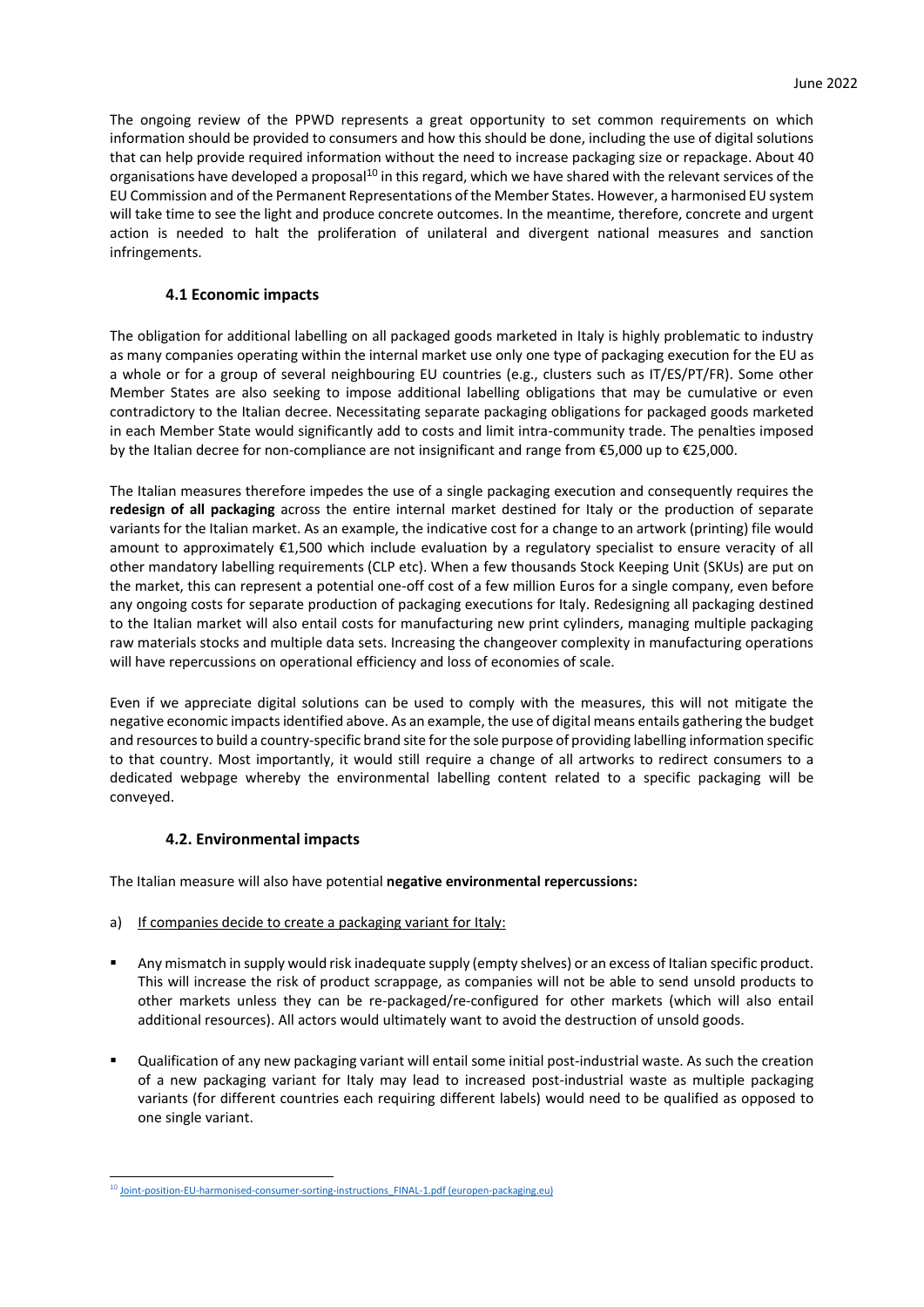The ongoing review of the PPWD represents a great opportunity to set common requirements on which information should be provided to consumers and how this should be done, including the use of digital solutions that can help provide required information without the need to increase packaging size or repackage. About 40 organisations have developed a proposal<sup>10</sup> in this regard, which we have shared with the relevant services of the EU Commission and of the Permanent Representations of the Member States. However, a harmonised EU system will take time to see the light and produce concrete outcomes. In the meantime, therefore, concrete and urgent action is needed to halt the proliferation of unilateral and divergent national measures and sanction infringements.

#### **4.1 Economic impacts**

The obligation for additional labelling on all packaged goods marketed in Italy is highly problematic to industry as many companies operating within the internal market use only one type of packaging execution for the EU as a whole or for a group of several neighbouring EU countries (e.g., clusters such as IT/ES/PT/FR). Some other Member States are also seeking to impose additional labelling obligations that may be cumulative or even contradictory to the Italian decree. Necessitating separate packaging obligations for packaged goods marketed in each Member State would significantly add to costs and limit intra-community trade. The penalties imposed by the Italian decree for non-compliance are not insignificant and range from €5,000 up to €25,000.

The Italian measures therefore impedes the use of a single packaging execution and consequently requires the **redesign of all packaging** across the entire internal market destined for Italy or the production of separate variants for the Italian market. As an example, the indicative cost for a change to an artwork (printing) file would amount to approximately €1,500 which include evaluation by a regulatory specialist to ensure veracity of all other mandatory labelling requirements (CLP etc). When a few thousands Stock Keeping Unit (SKUs) are put on the market, this can represent a potential one-off cost of a few million Euros for a single company, even before any ongoing costs for separate production of packaging executions for Italy. Redesigning all packaging destined to the Italian market will also entail costs for manufacturing new print cylinders, managing multiple packaging raw materials stocks and multiple data sets. Increasing the changeover complexity in manufacturing operations will have repercussions on operational efficiency and loss of economies of scale.

Even if we appreciate digital solutions can be used to comply with the measures, this will not mitigate the negative economic impactsidentified above. As an example, the use of digital means entails gathering the budget and resources to build a country-specific brand site for the sole purpose of providing labelling information specific to that country. Most importantly, it would still require a change of all artworks to redirect consumers to a dedicated webpage whereby the environmental labelling content related to a specific packaging will be conveyed.

### **4.2. Environmental impacts**

The Italian measure will also have potential **negative environmental repercussions:**

- a) If companies decide to create a packaging variant for Italy:
- Any mismatch in supply would risk inadequate supply (empty shelves) or an excess of Italian specific product. This will increase the risk of product scrappage, as companies will not be able to send unsold products to other markets unless they can be re-packaged/re-configured for other markets (which will also entail additional resources). All actors would ultimately want to avoid the destruction of unsold goods.
- Qualification of any new packaging variant will entail some initial post-industrial waste. As such the creation of a new packaging variant for Italy may lead to increased post-industrial waste as multiple packaging variants (for different countries each requiring different labels) would need to be qualified as opposed to one single variant.

<sup>&</sup>lt;sup>10</sup> [Joint-position-EU-harmonised-consumer-sorting-instructions\\_FINAL-1.pdf \(europen-packaging.eu\)](https://www.europen-packaging.eu/wp-content/uploads/2021/12/Joint-position-EU-harmonised-consumer-sorting-instructions_FINAL-1.pdf)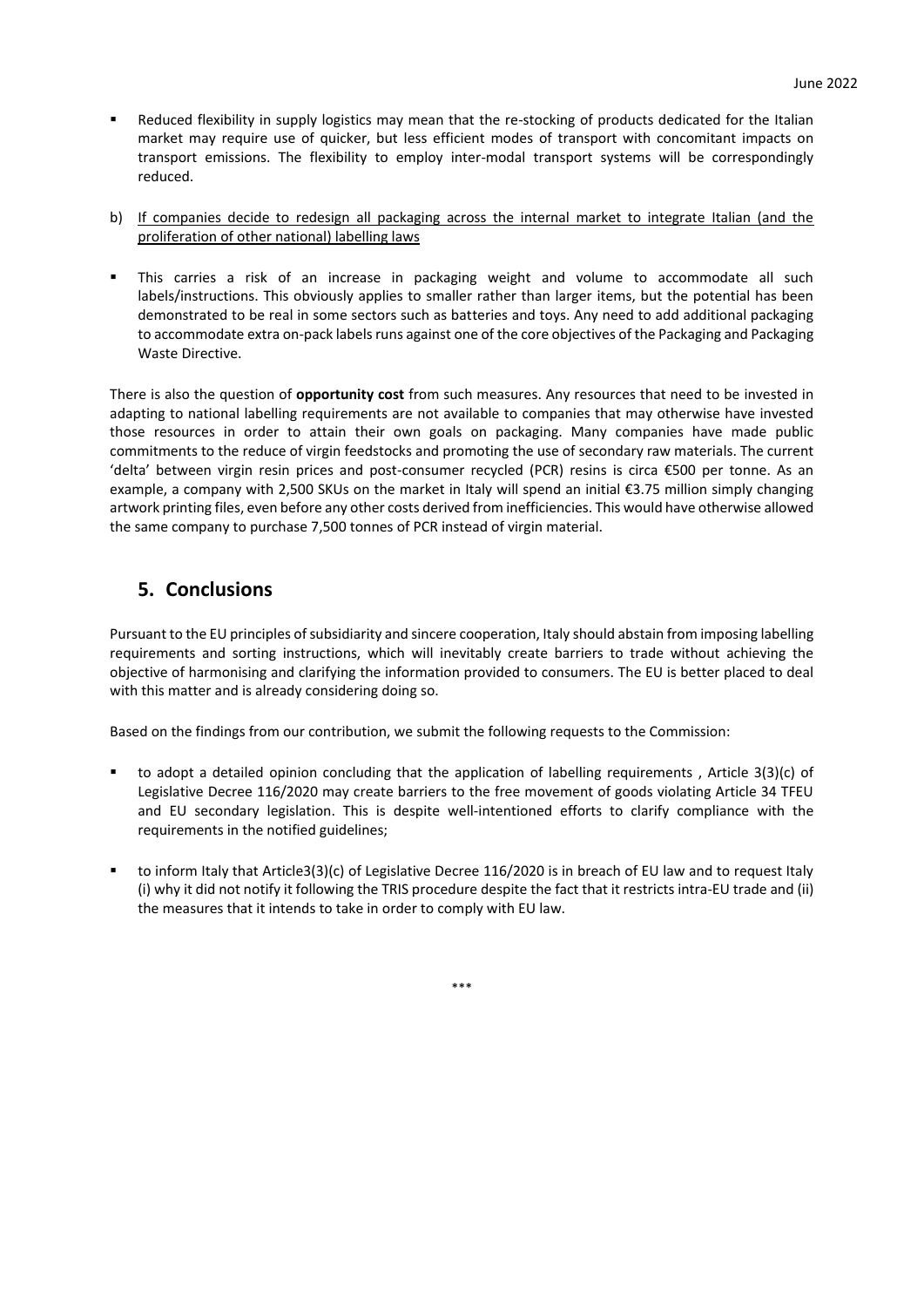- Reduced flexibility in supply logistics may mean that the re-stocking of products dedicated for the Italian market may require use of quicker, but less efficient modes of transport with concomitant impacts on transport emissions. The flexibility to employ inter-modal transport systems will be correspondingly reduced.
- b) If companies decide to redesign all packaging across the internal market to integrate Italian (and the proliferation of other national) labelling laws
- This carries a risk of an increase in packaging weight and volume to accommodate all such labels/instructions. This obviously applies to smaller rather than larger items, but the potential has been demonstrated to be real in some sectors such as batteries and toys. Any need to add additional packaging to accommodate extra on-pack labels runs against one of the core objectives of the Packaging and Packaging Waste Directive.

There is also the question of **opportunity cost** from such measures. Any resources that need to be invested in adapting to national labelling requirements are not available to companies that may otherwise have invested those resources in order to attain their own goals on packaging. Many companies have made public commitments to the reduce of virgin feedstocks and promoting the use of secondary raw materials. The current 'delta' between virgin resin prices and post-consumer recycled (PCR) resins is circa €500 per tonne. As an example, a company with 2,500 SKUs on the market in Italy will spend an initial €3.75 million simply changing artwork printing files, even before any other costs derived from inefficiencies. This would have otherwise allowed the same company to purchase 7,500 tonnes of PCR instead of virgin material.

## **5. Conclusions**

Pursuant to the EU principles of subsidiarity and sincere cooperation, Italy should abstain from imposing labelling requirements and sorting instructions, which will inevitably create barriers to trade without achieving the objective of harmonising and clarifying the information provided to consumers. The EU is better placed to deal with this matter and is already considering doing so.

Based on the findings from our contribution, we submit the following requests to the Commission:

- to adopt a detailed opinion concluding that the application of labelling requirements, Article 3(3)(c) of Legislative Decree 116/2020 may create barriers to the free movement of goods violating Article 34 TFEU and EU secondary legislation. This is despite well-intentioned efforts to clarify compliance with the requirements in the notified guidelines;
- to inform Italy that Article3(3)(c) of Legislative Decree 116/2020 is in breach of EU law and to request Italy (i) why it did not notify it following the TRIS procedure despite the fact that it restricts intra-EU trade and (ii) the measures that it intends to take in order to comply with EU law.

\*\*\*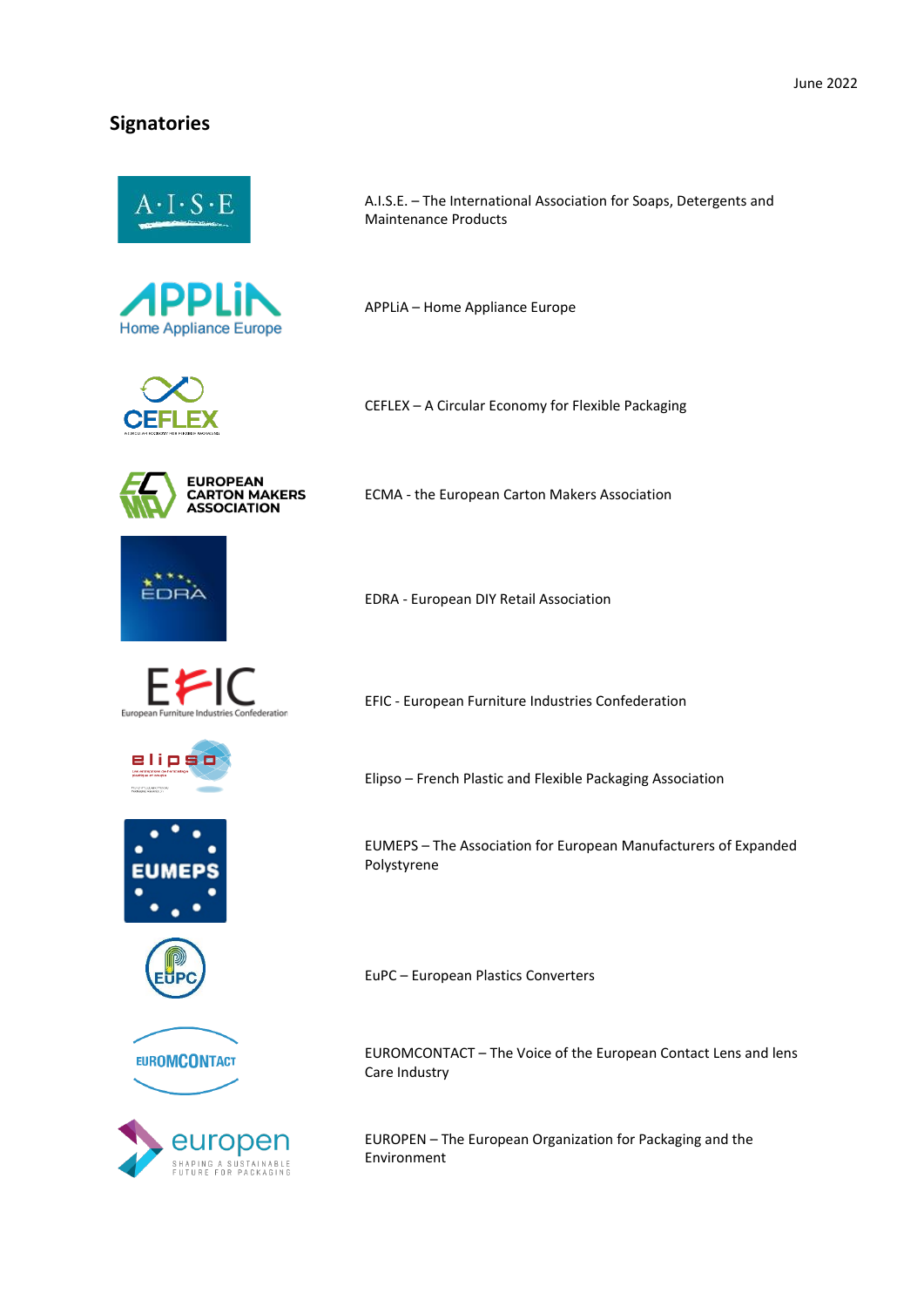## **Signatories**







A.I.S.E. – The International Association for Soaps, Detergents and Maintenance Products

APPLiA – Home Appliance Europe

CEFLEX – A Circular Economy for Flexible Packaging



ECMA - the European Carton Makers Association



EDRA - European DIY Retail Association





EFIC - European Furniture Industries Confederation

Elipso – French Plastic and Flexible Packaging Association









EUMEPS – The Association for European Manufacturers of Expanded Polystyrene

EuPC – European Plastics Converters

EUROMCONTACT – The Voice of the European Contact Lens and lens Care Industry

EUROPEN – The European Organization for Packaging and the Environment